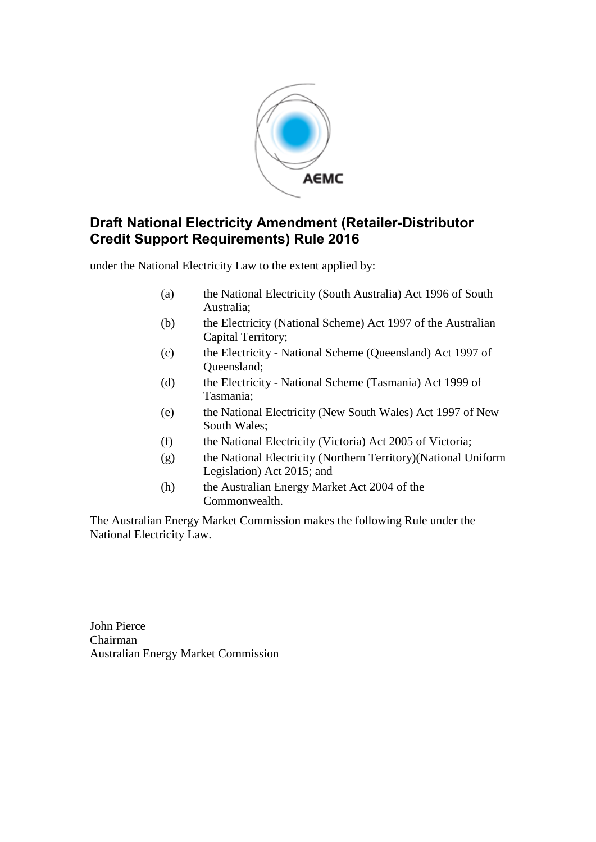

# **Draft National Electricity Amendment (Retailer-Distributor Credit Support Requirements) Rule 2016**

under the National Electricity Law to the extent applied by:

- (a) the National Electricity (South Australia) Act 1996 of South Australia;
- (b) the Electricity (National Scheme) Act 1997 of the Australian Capital Territory;
- (c) the Electricity National Scheme (Queensland) Act 1997 of Queensland;
- (d) the Electricity National Scheme (Tasmania) Act 1999 of Tasmania;
- (e) the National Electricity (New South Wales) Act 1997 of New South Wales;
- (f) the National Electricity (Victoria) Act 2005 of Victoria;
- (g) the National Electricity (Northern Territory)(National Uniform Legislation) Act 2015; and
- (h) the Australian Energy Market Act 2004 of the Commonwealth.

The Australian Energy Market Commission makes the following Rule under the National Electricity Law.

John Pierce Chairman Australian Energy Market Commission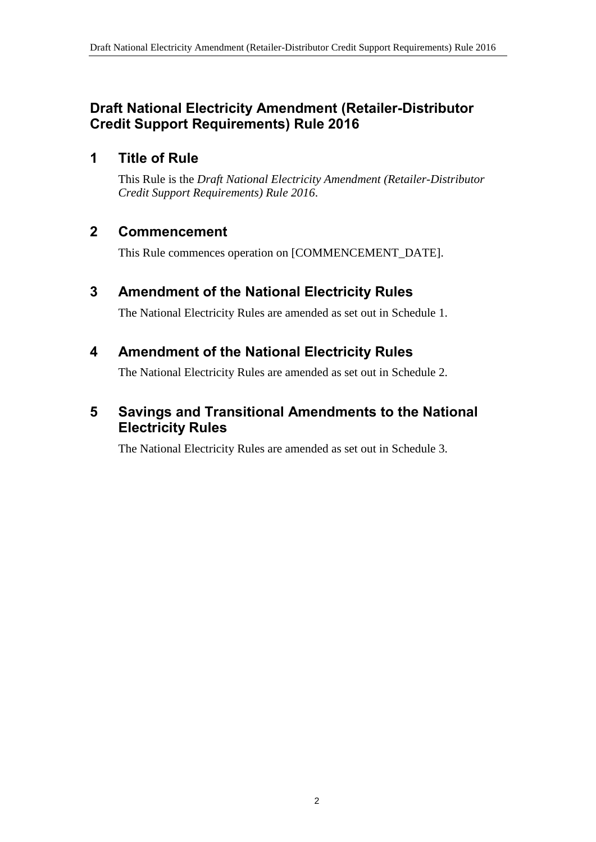# **Draft National Electricity Amendment (Retailer-Distributor Credit Support Requirements) Rule 2016**

### **1 Title of Rule**

This Rule is the *Draft National Electricity Amendment (Retailer-Distributor Credit Support Requirements) Rule 2016*.

### **2 Commencement**

This Rule commences operation on [COMMENCEMENT\_DATE].

# <span id="page-1-0"></span>**3 Amendment of the National Electricity Rules**

The National Electricity Rules are amended as set out in [Schedule 1.](#page-2-0)

### <span id="page-1-1"></span>**4 Amendment of the National Electricity Rules**

The National Electricity Rules are amended as set out in [Schedule 2.](#page-7-0)

# <span id="page-1-2"></span>**5 Savings and Transitional Amendments to the National Electricity Rules**

The National Electricity Rules are amended as set out in [Schedule 3.](#page-9-0)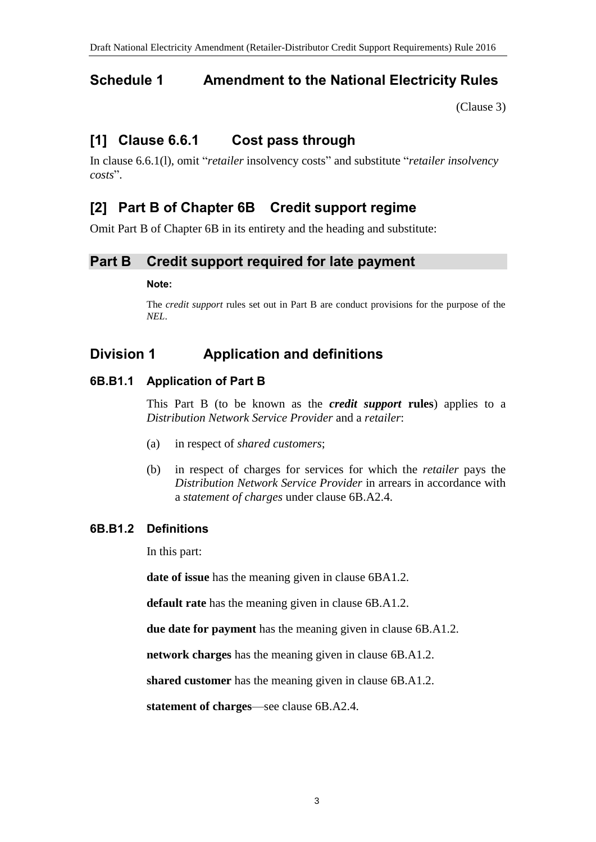# <span id="page-2-0"></span>**Schedule 1 Amendment to the National Electricity Rules**

[\(Clause 3\)](#page-1-0)

# **[1] Clause 6.6.1 Cost pass through**

In clause 6.6.1(l), omit "*retailer* insolvency costs" and substitute "*retailer insolvency costs*".

# **[2] Part B of Chapter 6B Credit support regime**

Omit Part B of Chapter 6B in its entirety and the heading and substitute:

### **Part B Credit support required for late payment**

#### **Note:**

The *credit support* rules set out in Part B are conduct provisions for the purpose of the *NEL*.

# **Division 1 Application and definitions**

### **6B.B1.1 Application of Part B**

This Part B (to be known as the *credit support* **rules**) applies to a *Distribution Network Service Provider* and a *retailer*:

- (a) in respect of *shared customers*;
- (b) in respect of charges for services for which the *retailer* pays the *Distribution Network Service Provider* in arrears in accordance with a *statement of charges* under clause 6B.A2.4.

### **6B.B1.2 Definitions**

In this part:

**date of issue** has the meaning given in clause 6BA1.2.

**default rate** has the meaning given in clause 6B.A1.2.

**due date for payment** has the meaning given in clause 6B.A1.2.

**network charges** has the meaning given in clause 6B.A1.2.

**shared customer** has the meaning given in clause 6B.A1.2.

**statement of charges**—see clause 6B.A2.4.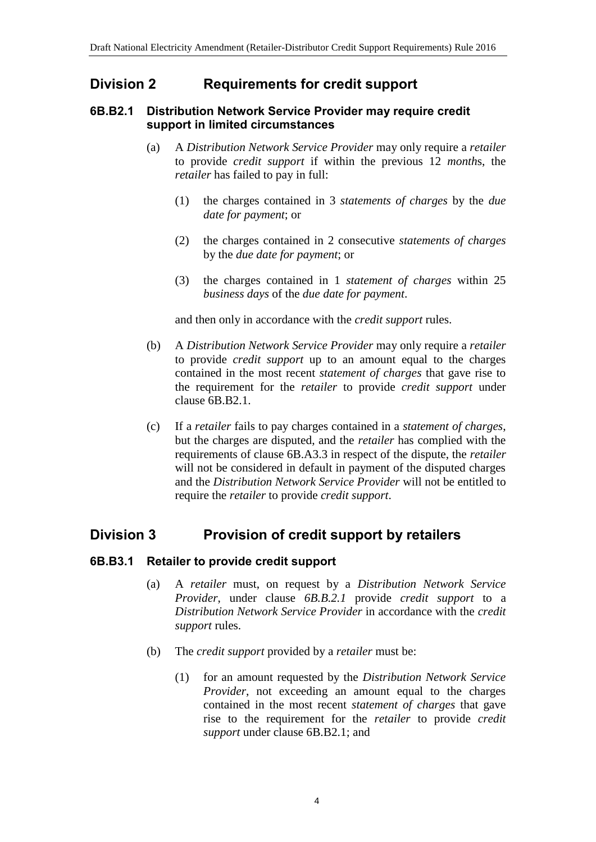### **Division 2 Requirements for credit support**

#### **6B.B2.1 Distribution Network Service Provider may require credit support in limited circumstances**

- (a) A *Distribution Network Service Provider* may only require a *retailer* to provide *credit support* if within the previous 12 *month*s, the *retailer* has failed to pay in full:
	- (1) the charges contained in 3 *statements of charges* by the *due date for payment*; or
	- (2) the charges contained in 2 consecutive *statements of charges* by the *due date for payment*; or
	- (3) the charges contained in 1 *statement of charges* within 25 *business days* of the *due date for payment*.

and then only in accordance with the *credit support* rules.

- (b) A *Distribution Network Service Provider* may only require a *retailer* to provide *credit support* up to an amount equal to the charges contained in the most recent *statement of charges* that gave rise to the requirement for the *retailer* to provide *credit support* under clause 6B.B2.1.
- (c) If a *retailer* fails to pay charges contained in a *statement of charges*, but the charges are disputed, and the *retailer* has complied with the requirements of clause 6B.A3.3 in respect of the dispute, the *retailer* will not be considered in default in payment of the disputed charges and the *Distribution Network Service Provider* will not be entitled to require the *retailer* to provide *credit support*.

# **Division 3 Provision of credit support by retailers**

### **6B.B3.1 Retailer to provide credit support**

- (a) A *retailer* must, on request by a *Distribution Network Service Provider*, under clause *6B.B.2.1* provide *credit support* to a *Distribution Network Service Provider* in accordance with the *credit support* rules.
- (b) The *credit support* provided by a *retailer* must be:
	- (1) for an amount requested by the *Distribution Network Service Provider*, not exceeding an amount equal to the charges contained in the most recent *statement of charges* that gave rise to the requirement for the *retailer* to provide *credit support* under clause 6B.B2.1; and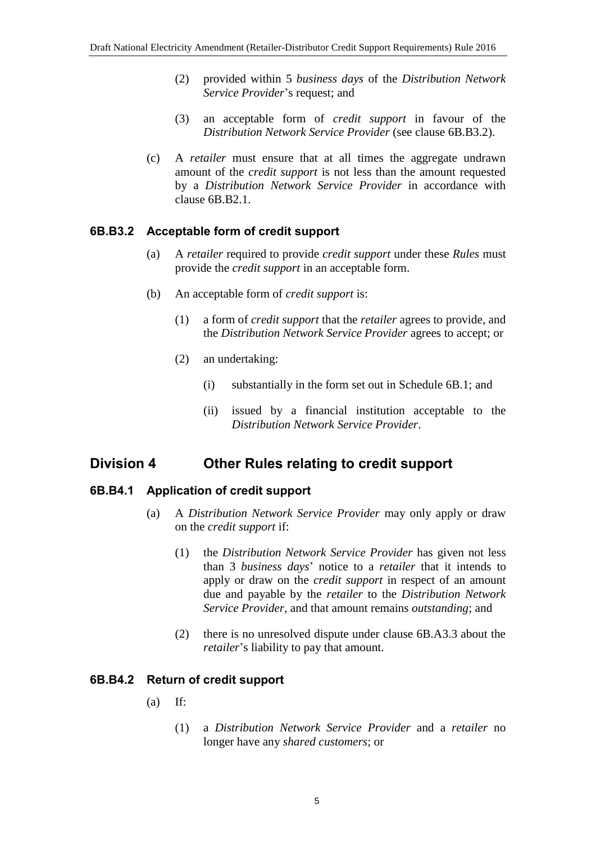- (2) provided within 5 *business days* of the *Distribution Network Service Provider*'s request; and
- (3) an acceptable form of *credit support* in favour of the *Distribution Network Service Provider* (see clause 6B.B3.2).
- (c) A *retailer* must ensure that at all times the aggregate undrawn amount of the *credit support* is not less than the amount requested by a *Distribution Network Service Provider* in accordance with clause 6B.B2.1.

#### **6B.B3.2 Acceptable form of credit support**

- (a) A *retailer* required to provide *credit support* under these *Rules* must provide the *credit support* in an acceptable form.
- (b) An acceptable form of *credit support* is:
	- (1) a form of *credit support* that the *retailer* agrees to provide, and the *Distribution Network Service Provider* agrees to accept; or
	- (2) an undertaking:
		- (i) substantially in the form set out in Schedule 6B.1; and
		- (ii) issued by a financial institution acceptable to the *Distribution Network Service Provider*.

### **Division 4 Other Rules relating to credit support**

#### **6B.B4.1 Application of credit support**

- (a) A *Distribution Network Service Provider* may only apply or draw on the *credit support* if:
	- (1) the *Distribution Network Service Provider* has given not less than 3 *business days*' notice to a *retailer* that it intends to apply or draw on the *credit support* in respect of an amount due and payable by the *retailer* to the *Distribution Network Service Provider*, and that amount remains *outstanding*; and
	- (2) there is no unresolved dispute under clause 6B.A3.3 about the *retailer*'s liability to pay that amount.

#### **6B.B4.2 Return of credit support**

- $(a)$  If:
	- (1) a *Distribution Network Service Provider* and a *retailer* no longer have any *shared customers*; or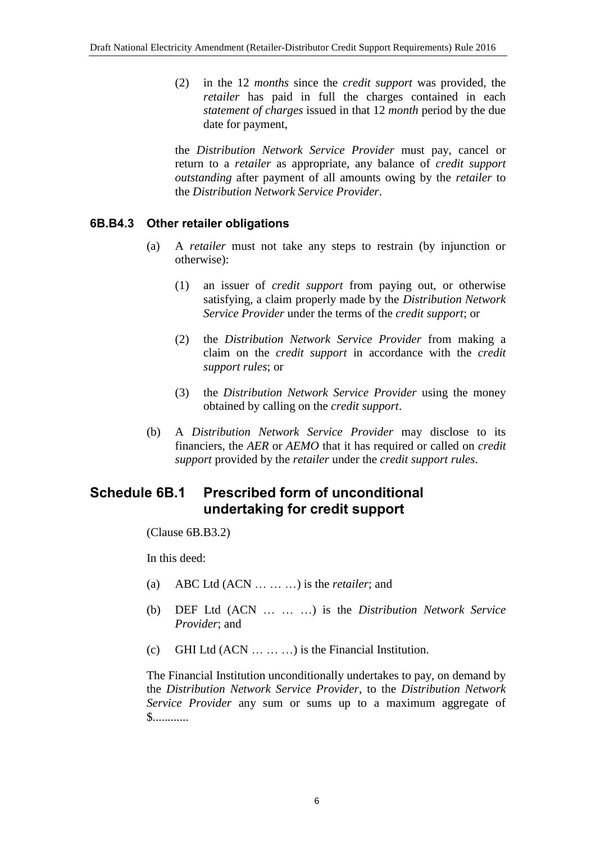(2) in the 12 *months* since the *credit support* was provided, the *retailer* has paid in full the charges contained in each *statement of charges* issued in that 12 *month* period by the due date for payment,

the *Distribution Network Service Provider* must pay, cancel or return to a *retailer* as appropriate, any balance of *credit support outstanding* after payment of all amounts owing by the *retailer* to the *Distribution Network Service Provider*.

#### **6B.B4.3 Other retailer obligations**

- (a) A *retailer* must not take any steps to restrain (by injunction or otherwise):
	- (1) an issuer of *credit support* from paying out, or otherwise satisfying, a claim properly made by the *Distribution Network Service Provider* under the terms of the *credit support*; or
	- (2) the *Distribution Network Service Provider* from making a claim on the *credit support* in accordance with the *credit support rules*; or
	- (3) the *Distribution Network Service Provider* using the money obtained by calling on the *credit support*.
- (b) A *Distribution Network Service Provider* may disclose to its financiers, the *AER* or *AEMO* that it has required or called on *credit support* provided by the *retailer* under the *credit support rules*.

# **Schedule 6B.1 Prescribed form of unconditional undertaking for credit support**

(Clause 6B.B3.2)

In this deed:

- (a) ABC Ltd (ACN … … …) is the *retailer*; and
- (b) DEF Ltd (ACN … … …) is the *Distribution Network Service Provider*; and
- (c) GHI Ltd  $(ACN ... ... )$  is the Financial Institution.

The Financial Institution unconditionally undertakes to pay, on demand by the *Distribution Network Service Provider*, to the *Distribution Network Service Provider* any sum or sums up to a maximum aggregate of \$............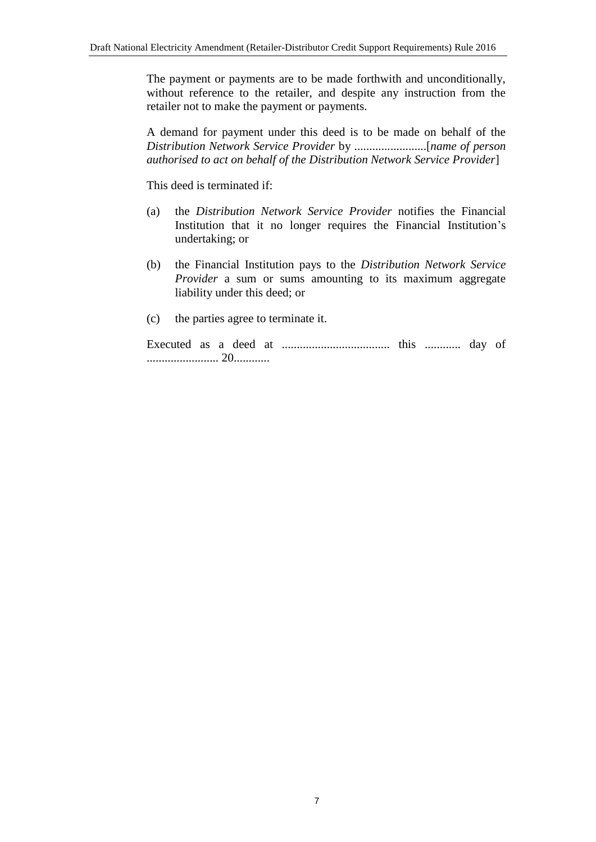The payment or payments are to be made forthwith and unconditionally, without reference to the retailer, and despite any instruction from the retailer not to make the payment or payments.

A demand for payment under this deed is to be made on behalf of the *Distribution Network Service Provider* by ........................[*name of person authorised to act on behalf of the Distribution Network Service Provider*]

This deed is terminated if:

- (a) the *Distribution Network Service Provider* notifies the Financial Institution that it no longer requires the Financial Institution's undertaking; or
- (b) the Financial Institution pays to the *Distribution Network Service Provider* a sum or sums amounting to its maximum aggregate liability under this deed; or
- (c) the parties agree to terminate it.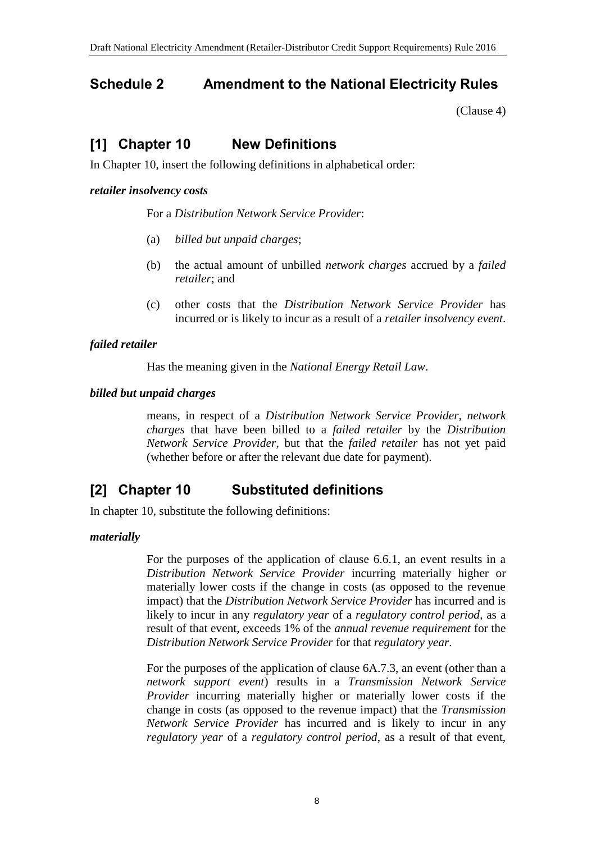# <span id="page-7-0"></span>**Schedule 2 Amendment to the National Electricity Rules**

[\(Clause 4\)](#page-1-1)

# **[1] Chapter 10 New Definitions**

In Chapter 10, insert the following definitions in alphabetical order:

#### *retailer insolvency costs*

For a *Distribution Network Service Provider*:

- (a) *billed but unpaid charges*;
- (b) the actual amount of unbilled *network charges* accrued by a *failed retailer*; and
- (c) other costs that the *Distribution Network Service Provider* has incurred or is likely to incur as a result of a *retailer insolvency event*.

#### *failed retailer*

Has the meaning given in the *National Energy Retail Law*.

#### *billed but unpaid charges*

means, in respect of a *Distribution Network Service Provider*, *network charges* that have been billed to a *failed retailer* by the *Distribution Network Service Provider*, but that the *failed retailer* has not yet paid (whether before or after the relevant due date for payment).

# **[2] Chapter 10 Substituted definitions**

In chapter 10, substitute the following definitions:

#### *materially*

For the purposes of the application of clause 6.6.1, an event results in a *Distribution Network Service Provider* incurring materially higher or materially lower costs if the change in costs (as opposed to the revenue impact) that the *Distribution Network Service Provider* has incurred and is likely to incur in any *regulatory year* of a *regulatory control period*, as a result of that event, exceeds 1% of the *annual revenue requirement* for the *Distribution Network Service Provider* for that *regulatory year*.

For the purposes of the application of clause 6A.7.3, an event (other than a *network support event*) results in a *Transmission Network Service Provider* incurring materially higher or materially lower costs if the change in costs (as opposed to the revenue impact) that the *Transmission Network Service Provider* has incurred and is likely to incur in any *regulatory year* of a *regulatory control period*, as a result of that event,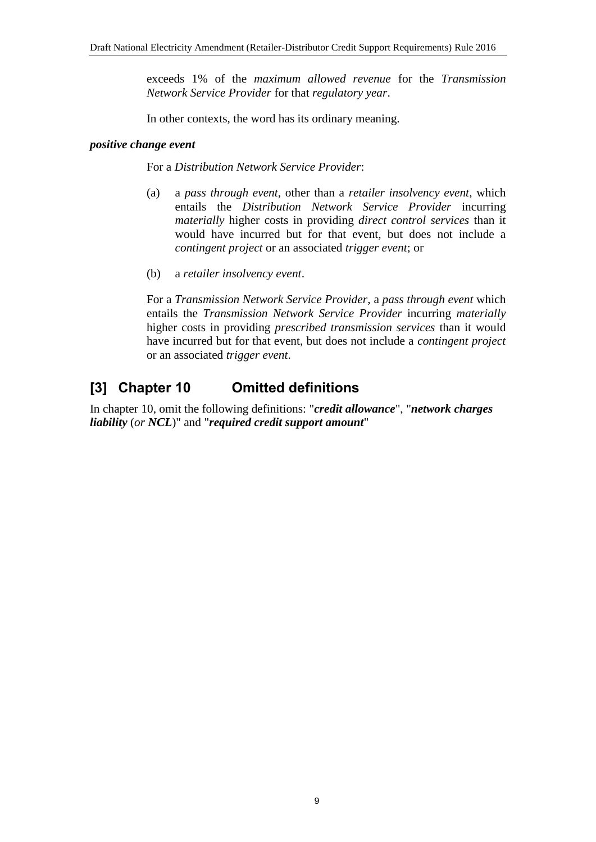exceeds 1% of the *maximum allowed revenue* for the *Transmission Network Service Provider* for that *regulatory year*.

In other contexts, the word has its ordinary meaning.

#### *positive change event*

For a *Distribution Network Service Provider*:

- (a) a *pass through event*, other than a *retailer insolvency event*, which entails the *Distribution Network Service Provider* incurring *materially* higher costs in providing *direct control services* than it would have incurred but for that event, but does not include a *contingent project* or an associated *trigger event*; or
- (b) a *retailer insolvency event*.

For a *Transmission Network Service Provider*, a *pass through event* which entails the *Transmission Network Service Provider* incurring *materially* higher costs in providing *prescribed transmission services* than it would have incurred but for that event, but does not include a *contingent project* or an associated *trigger event*.

# **[3] Chapter 10 Omitted definitions**

In chapter 10, omit the following definitions: "*credit allowance*", "*network charges liability* (*or NCL*)" and "*required credit support amount*"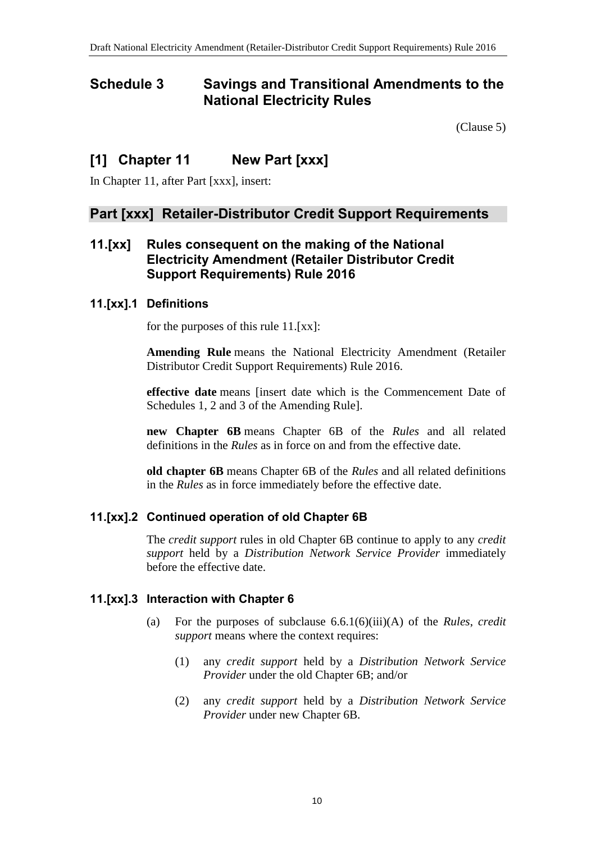### <span id="page-9-0"></span>**Schedule 3 Savings and Transitional Amendments to the National Electricity Rules**

[\(Clause 5\)](#page-1-2)

# **[1] Chapter 11 New Part [xxx]**

In Chapter 11, after Part [xxx], insert:

### **Part [xxx] Retailer-Distributor Credit Support Requirements**

### **11.[xx] Rules consequent on the making of the National Electricity Amendment (Retailer Distributor Credit Support Requirements) Rule 2016**

#### **11.[xx].1 Definitions**

for the purposes of this rule 11.[xx]:

**Amending Rule** means the National Electricity Amendment (Retailer Distributor Credit Support Requirements) Rule 2016.

**effective date** means [insert date which is the Commencement Date of Schedules 1, 2 and 3 of the Amending Rule].

**new Chapter 6B** means Chapter 6B of the *Rules* and all related definitions in the *Rules* as in force on and from the effective date.

**old chapter 6B** means Chapter 6B of the *Rules* and all related definitions in the *Rules* as in force immediately before the effective date.

### **11.[xx].2 Continued operation of old Chapter 6B**

The *credit support* rules in old Chapter 6B continue to apply to any *credit support* held by a *Distribution Network Service Provider* immediately before the effective date.

#### **11.[xx].3 Interaction with Chapter 6**

- (a) For the purposes of subclause 6.6.1(6)(iii)(A) of the *Rules*, *credit support* means where the context requires:
	- (1) any *credit support* held by a *Distribution Network Service Provider* under the old Chapter 6B; and/or
	- (2) any *credit support* held by a *Distribution Network Service Provider* under new Chapter 6B.